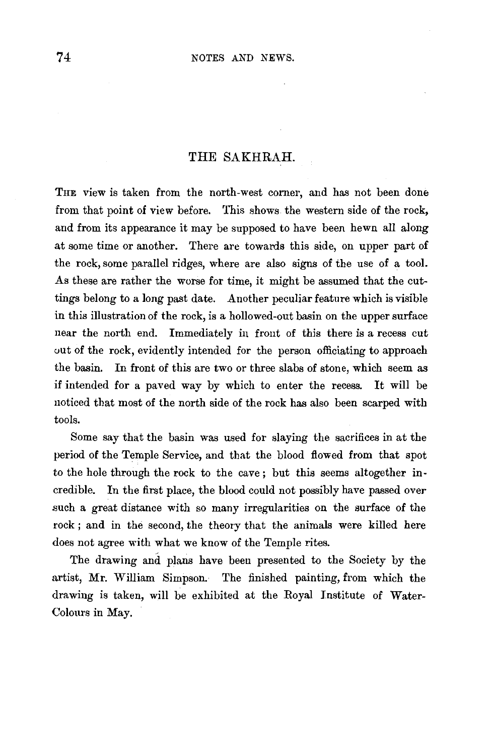## THE SAKHRAH.

THE view is taken from the north-west corner, and has not been done from that point of view before. This shows the western side of the rock, and from its appearance it may be supposed to have been hewn all along at some time or another. There are towards this side, on upper part of the rock, some parallel ridges, where are also signs of the use of a tool. As these are rather the worse for time, it might be assumed that the cuttings belong to a long past date. Another peculiar feature which is visible in this illustration of the rock, is a hollowed-out basin on the upper surface near the north end. Immediately in front of this there is a recess cut out of the rock, evidently intended for the person officiating to approach the basin. In front of this are two or three slabs of stone, which seem as if intended for a paved way by which to enter the recess. It will be noticed that most of the north side of the rock has also been scarped with tools.

Some say that the basin was used for slaying the sacrifices in at the period of the Temple Service, and that the blood flowed from that spot to the hole through the rock to the cave; but this seems altogether incredible. In the first place, the blood could not possibly have passed over such a great distance with so many irregularities on the surface of the rock ; and in the second, the theory that the animals were killed here does not agree with what we know of the Temple rites.

The drawing and plans have been presented to the Society by the artist, Mr. William Simpson. The finished painting, from which the drawing is taken, will be exhibited at the Royal Institute of Water-Colours in May.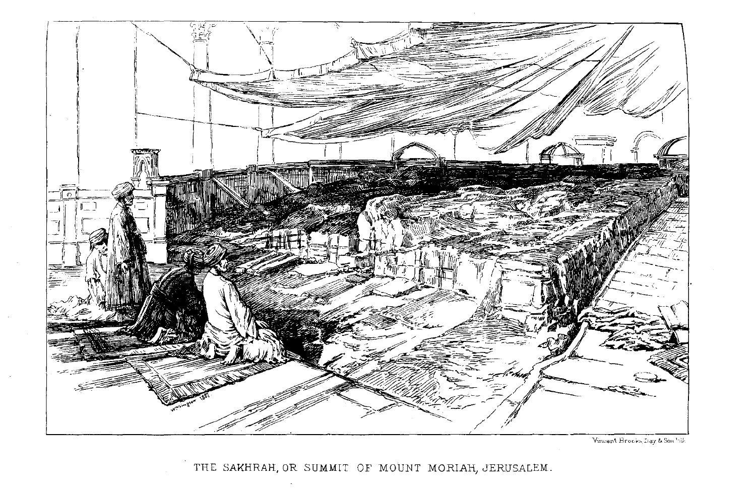

Vincent Brooks, Day & Son File

THE SAKHRAH, OR SUMMIT OF MOUNT MORIAH, JERUSALEM.